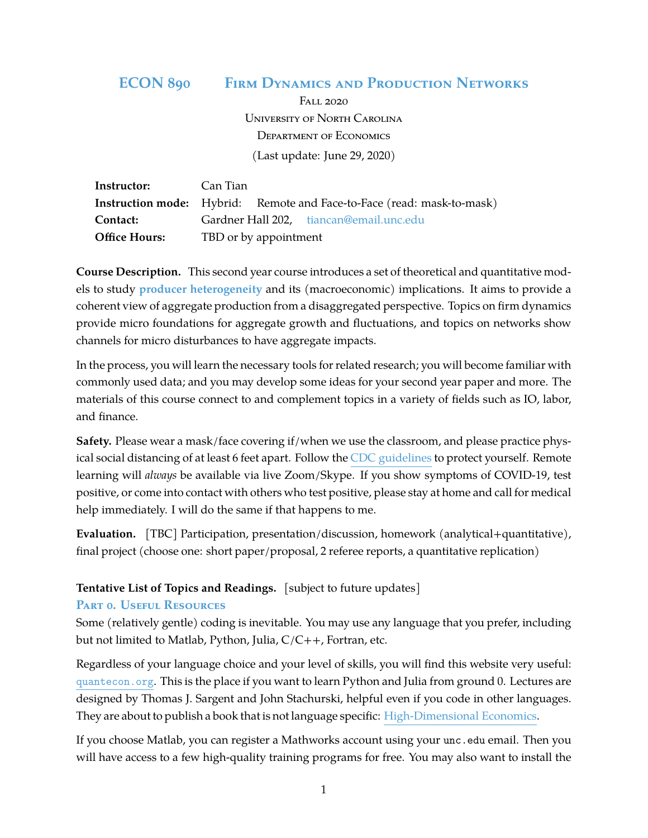# **ECON 890 Firm Dynamics and Production Networks**

Fall 2020 University of North Carolina Department of Economics (Last update: June 29, 2020)

| <b>Instructor:</b> Can Tian |                                                                               |
|-----------------------------|-------------------------------------------------------------------------------|
|                             | <b>Instruction mode:</b> Hybrid: Remote and Face-to-Face (read: mask-to-mask) |
| Contact:                    | Gardner Hall 202, tiancan@email.unc.edu                                       |
| <b>Office Hours:</b>        | TBD or by appointment                                                         |

**Course Description.** This second year course introduces a set of theoretical and quantitative models to study **producer heterogeneity** and its (macroeconomic) implications. It aims to provide a coherent view of aggregate production from a disaggregated perspective. Topics on firm dynamics provide micro foundations for aggregate growth and fluctuations, and topics on networks show channels for micro disturbances to have aggregate impacts.

In the process, you will learn the necessary tools for related research; you will become familiar with commonly used data; and you may develop some ideas for your second year paper and more. The materials of this course connect to and complement topics in a variety of fields such as IO, labor, and finance.

**Safety.** Please wear a mask/face covering if/when we use the classroom, and please practice physical social distancing of at least 6 feet apart. Follow the [CDC guidelines](https://www.cdc.gov/coronavirus/2019-ncov/index.html) to protect yourself. Remote learning will *always* be available via live Zoom/Skype. If you show symptoms of COVID-19, test positive, or come into contact with others who test positive, please stay at home and call for medical help immediately. I will do the same if that happens to me.

**Evaluation.** [TBC] Participation, presentation/discussion, homework (analytical+quantitative), final project (choose one: short paper/proposal, 2 referee reports, a quantitative replication)

# **Tentative List of Topics and Readings.** [subject to future updates]

# **Part 0. Useful Resources**

Some (relatively gentle) coding is inevitable. You may use any language that you prefer, including but not limited to Matlab, Python, Julia, C/C++, Fortran, etc.

Regardless of your language choice and your level of skills, you will find this website very useful: [quantecon.org](https://quantecon.org). This is the place if you want to learn Python and Julia from ground 0. Lectures are designed by Thomas J. Sargent and John Stachurski, helpful even if you code in other languages. They are about to publish a book that is not language specific: [High-Dimensional Economics.](https://quantecon.org/assets/downloads/main.pdf)

If you choose Matlab, you can register a Mathworks account using your unc.edu email. Then you will have access to a few high-quality training programs for free. You may also want to install the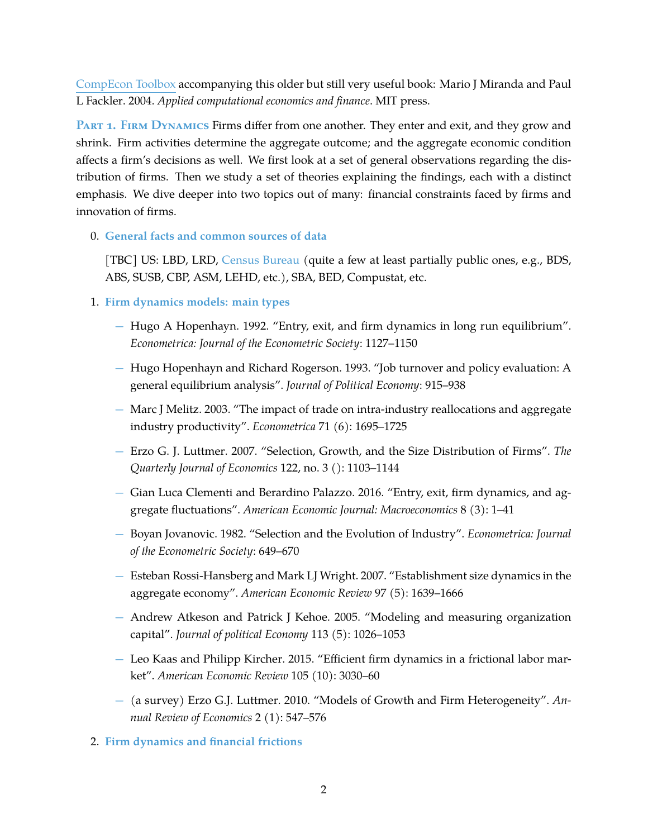[CompEcon Toolbox](https://pfackler.wordpress.ncsu.edu/compecon/154-2/) accompanying this older but still very useful book: Mario J Miranda and Paul L Fackler. 2004. *Applied computational economics and finance*. MIT press.

**Part 1. Firm Dynamics** Firms differ from one another. They enter and exit, and they grow and shrink. Firm activities determine the aggregate outcome; and the aggregate economic condition affects a firm's decisions as well. We first look at a set of general observations regarding the distribution of firms. Then we study a set of theories explaining the findings, each with a distinct emphasis. We dive deeper into two topics out of many: financial constraints faced by firms and innovation of firms.

0. **General facts and common sources of data**

[TBC] US: LBD, LRD, [Census Bureau](https://www.census.gov/topics/business-economy/dynamics.html) (quite a few at least partially public ones, e.g., BDS, ABS, SUSB, CBP, ASM, LEHD, etc.), SBA, BED, Compustat, etc.

- 1. **Firm dynamics models: main types**
	- − Hugo A Hopenhayn. 1992. "Entry, exit, and firm dynamics in long run equilibrium". *Econometrica: Journal of the Econometric Society*: 1127–1150
	- − Hugo Hopenhayn and Richard Rogerson. 1993. "Job turnover and policy evaluation: A general equilibrium analysis". *Journal of Political Economy*: 915–938
	- − Marc J Melitz. 2003. "The impact of trade on intra-industry reallocations and aggregate industry productivity". *Econometrica* 71 (6): 1695–1725
	- − Erzo G. J. Luttmer. 2007. "Selection, Growth, and the Size Distribution of Firms". *The Quarterly Journal of Economics* 122, no. 3 (): 1103–1144
	- − Gian Luca Clementi and Berardino Palazzo. 2016. "Entry, exit, firm dynamics, and aggregate fluctuations". *American Economic Journal: Macroeconomics* 8 (3): 1–41
	- − Boyan Jovanovic. 1982. "Selection and the Evolution of Industry". *Econometrica: Journal of the Econometric Society*: 649–670
	- − Esteban Rossi-Hansberg and Mark LJ Wright. 2007. "Establishment size dynamics in the aggregate economy". *American Economic Review* 97 (5): 1639–1666
	- − Andrew Atkeson and Patrick J Kehoe. 2005. "Modeling and measuring organization capital". *Journal of political Economy* 113 (5): 1026–1053
	- − Leo Kaas and Philipp Kircher. 2015. "Efficient firm dynamics in a frictional labor market". *American Economic Review* 105 (10): 3030–60
	- − (a survey) Erzo G.J. Luttmer. 2010. "Models of Growth and Firm Heterogeneity". *Annual Review of Economics* 2 (1): 547–576
- 2. **Firm dynamics and financial frictions**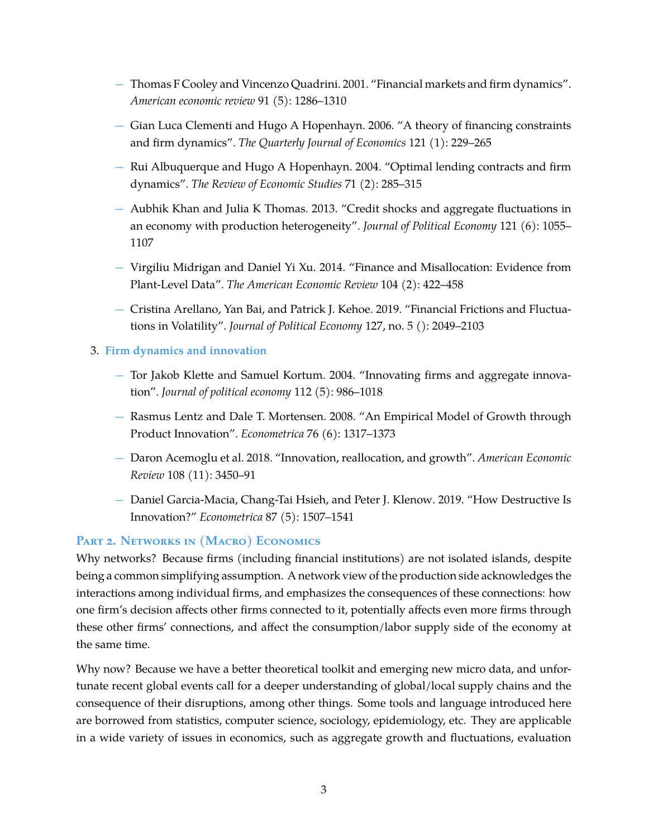- − Thomas F Cooley and Vincenzo Quadrini. 2001. "Financial markets and firm dynamics". *American economic review* 91 (5): 1286–1310
- − Gian Luca Clementi and Hugo A Hopenhayn. 2006. "A theory of financing constraints and firm dynamics". *The Quarterly Journal of Economics* 121 (1): 229–265
- − Rui Albuquerque and Hugo A Hopenhayn. 2004. "Optimal lending contracts and firm dynamics". *The Review of Economic Studies* 71 (2): 285–315
- − Aubhik Khan and Julia K Thomas. 2013. "Credit shocks and aggregate fluctuations in an economy with production heterogeneity". *Journal of Political Economy* 121 (6): 1055– 1107
- − Virgiliu Midrigan and Daniel Yi Xu. 2014. "Finance and Misallocation: Evidence from Plant-Level Data". *The American Economic Review* 104 (2): 422–458
- − Cristina Arellano, Yan Bai, and Patrick J. Kehoe. 2019. "Financial Frictions and Fluctuations in Volatility". *Journal of Political Economy* 127, no. 5 (): 2049–2103

#### 3. **Firm dynamics and innovation**

- − Tor Jakob Klette and Samuel Kortum. 2004. "Innovating firms and aggregate innovation". *Journal of political economy* 112 (5): 986–1018
- − Rasmus Lentz and Dale T. Mortensen. 2008. "An Empirical Model of Growth through Product Innovation". *Econometrica* 76 (6): 1317–1373
- − Daron Acemoglu et al. 2018. "Innovation, reallocation, and growth". *American Economic Review* 108 (11): 3450–91
- − Daniel Garcia-Macia, Chang-Tai Hsieh, and Peter J. Klenow. 2019. "How Destructive Is Innovation?" *Econometrica* 87 (5): 1507–1541

# **Part 2. Networks in (Macro) Economics**

Why networks? Because firms (including financial institutions) are not isolated islands, despite being a common simplifying assumption. A network view of the production side acknowledges the interactions among individual firms, and emphasizes the consequences of these connections: how one firm's decision affects other firms connected to it, potentially affects even more firms through these other firms' connections, and affect the consumption/labor supply side of the economy at the same time.

Why now? Because we have a better theoretical toolkit and emerging new micro data, and unfortunate recent global events call for a deeper understanding of global/local supply chains and the consequence of their disruptions, among other things. Some tools and language introduced here are borrowed from statistics, computer science, sociology, epidemiology, etc. They are applicable in a wide variety of issues in economics, such as aggregate growth and fluctuations, evaluation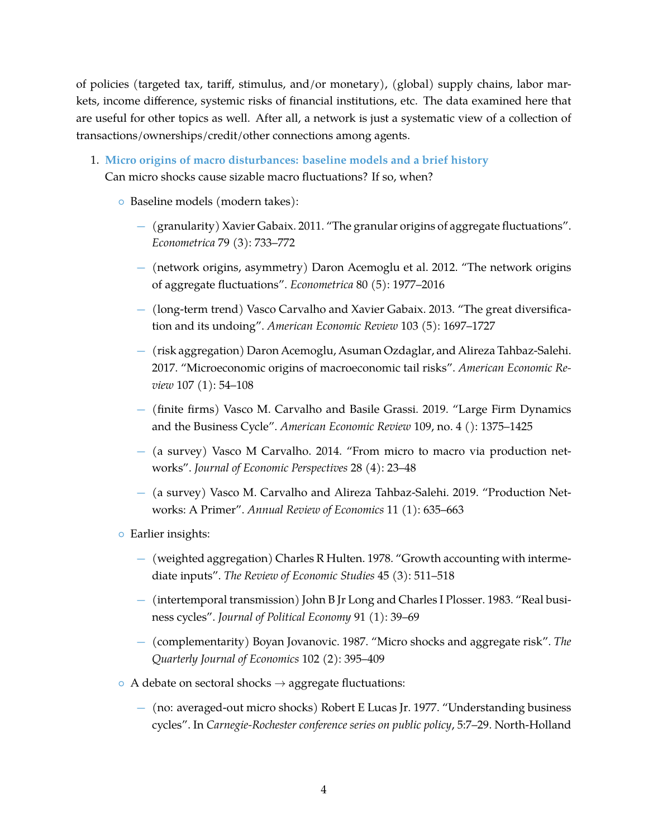of policies (targeted tax, tariff, stimulus, and/or monetary), (global) supply chains, labor markets, income difference, systemic risks of financial institutions, etc. The data examined here that are useful for other topics as well. After all, a network is just a systematic view of a collection of transactions/ownerships/credit/other connections among agents.

- 1. **Micro origins of macro disturbances: baseline models and a brief history** Can micro shocks cause sizable macro fluctuations? If so, when?
	- Baseline models (modern takes):
		- − (granularity) Xavier Gabaix. 2011. "The granular origins of aggregate fluctuations". *Econometrica* 79 (3): 733–772
		- − (network origins, asymmetry) Daron Acemoglu et al. 2012. "The network origins of aggregate fluctuations". *Econometrica* 80 (5): 1977–2016
		- − (long-term trend) Vasco Carvalho and Xavier Gabaix. 2013. "The great diversification and its undoing". *American Economic Review* 103 (5): 1697–1727
		- − (risk aggregation) Daron Acemoglu, Asuman Ozdaglar, and Alireza Tahbaz-Salehi. 2017. "Microeconomic origins of macroeconomic tail risks". *American Economic Review* 107 (1): 54–108
		- − (finite firms) Vasco M. Carvalho and Basile Grassi. 2019. "Large Firm Dynamics and the Business Cycle". *American Economic Review* 109, no. 4 (): 1375–1425
		- − (a survey) Vasco M Carvalho. 2014. "From micro to macro via production networks". *Journal of Economic Perspectives* 28 (4): 23–48
		- − (a survey) Vasco M. Carvalho and Alireza Tahbaz-Salehi. 2019. "Production Networks: A Primer". *Annual Review of Economics* 11 (1): 635–663
	- Earlier insights:
		- − (weighted aggregation) Charles R Hulten. 1978. "Growth accounting with intermediate inputs". *The Review of Economic Studies* 45 (3): 511–518
		- − (intertemporal transmission) John B Jr Long and Charles I Plosser. 1983. "Real business cycles". *Journal of Political Economy* 91 (1): 39–69
		- − (complementarity) Boyan Jovanovic. 1987. "Micro shocks and aggregate risk". *The Quarterly Journal of Economics* 102 (2): 395–409
	- $\circ$  A debate on sectoral shocks  $\rightarrow$  aggregate fluctuations:
		- − (no: averaged-out micro shocks) Robert E Lucas Jr. 1977. "Understanding business cycles". In *Carnegie-Rochester conference series on public policy*, 5:7–29. North-Holland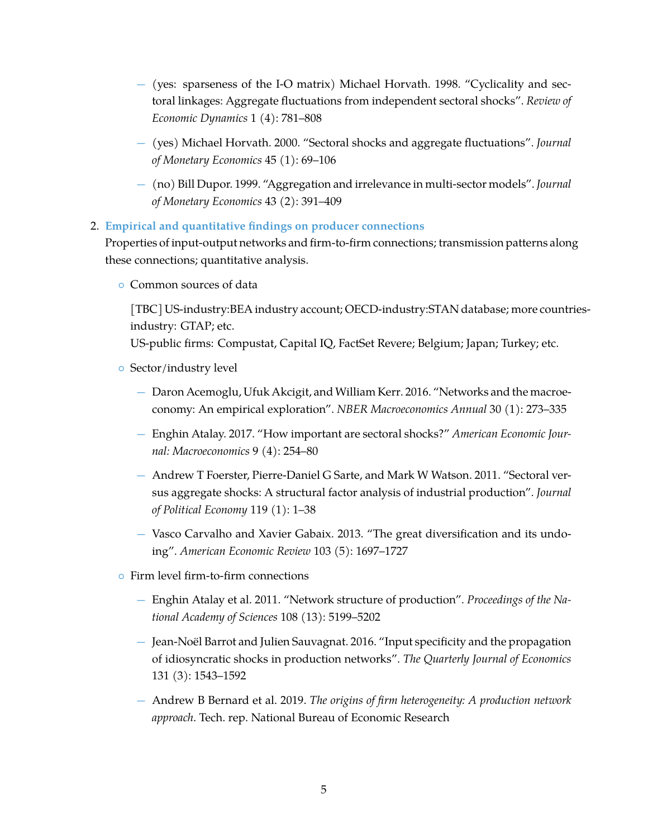- − (yes: sparseness of the I-O matrix) Michael Horvath. 1998. "Cyclicality and sectoral linkages: Aggregate fluctuations from independent sectoral shocks". *Review of Economic Dynamics* 1 (4): 781–808
- − (yes) Michael Horvath. 2000. "Sectoral shocks and aggregate fluctuations". *Journal of Monetary Economics* 45 (1): 69–106
- − (no) Bill Dupor. 1999. "Aggregation and irrelevance in multi-sector models". *Journal of Monetary Economics* 43 (2): 391–409

#### 2. **Empirical and quantitative findings on producer connections**

Properties of input-output networks and firm-to-firm connections; transmission patterns along these connections; quantitative analysis.

◦ Common sources of data

[TBC] US-industry:BEA industry account; OECD-industry:STAN database; more countriesindustry: GTAP; etc.

US-public firms: Compustat, Capital IQ, FactSet Revere; Belgium; Japan; Turkey; etc.

- Sector/industry level
	- − Daron Acemoglu, Ufuk Akcigit, and William Kerr. 2016. "Networks and the macroeconomy: An empirical exploration". *NBER Macroeconomics Annual* 30 (1): 273–335
	- − Enghin Atalay. 2017. "How important are sectoral shocks?" *American Economic Journal: Macroeconomics* 9 (4): 254–80
	- − Andrew T Foerster, Pierre-Daniel G Sarte, and Mark W Watson. 2011. "Sectoral versus aggregate shocks: A structural factor analysis of industrial production". *Journal of Political Economy* 119 (1): 1–38
	- − Vasco Carvalho and Xavier Gabaix. 2013. "The great diversification and its undoing". *American Economic Review* 103 (5): 1697–1727
- Firm level firm-to-firm connections
	- − Enghin Atalay et al. 2011. "Network structure of production". *Proceedings of the National Academy of Sciences* 108 (13): 5199–5202
	- − Jean-Noël Barrot and Julien Sauvagnat. 2016. "Input specificity and the propagation of idiosyncratic shocks in production networks". *The Quarterly Journal of Economics* 131 (3): 1543–1592
	- − Andrew B Bernard et al. 2019. *The origins of firm heterogeneity: A production network approach*. Tech. rep. National Bureau of Economic Research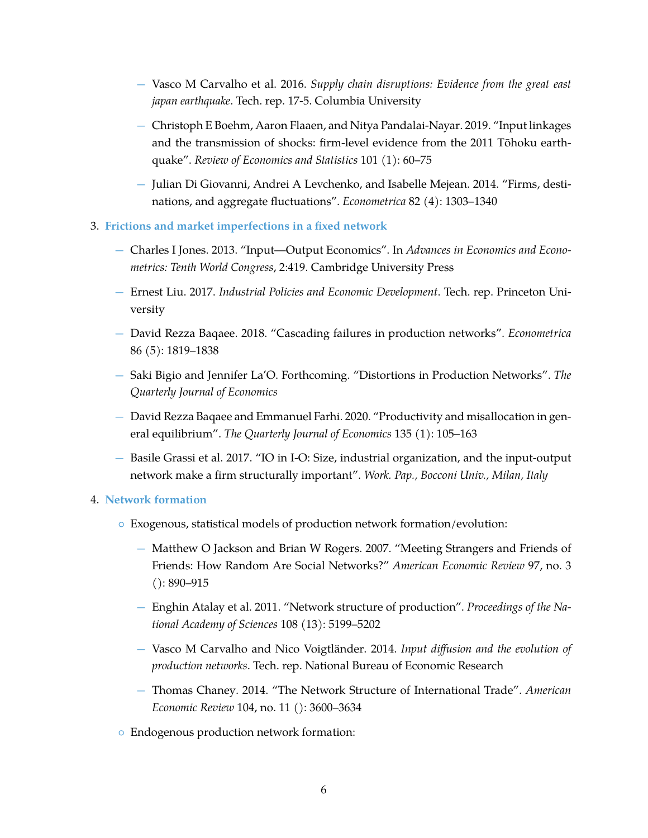- − Vasco M Carvalho et al. 2016. *Supply chain disruptions: Evidence from the great east japan earthquake*. Tech. rep. 17-5. Columbia University
- − Christoph E Boehm, Aaron Flaaen, and Nitya Pandalai-Nayar. 2019. "Input linkages and the transmission of shocks: firm-level evidence from the 2011 Tōhoku earthquake". *Review of Economics and Statistics* 101 (1): 60–75
- − Julian Di Giovanni, Andrei A Levchenko, and Isabelle Mejean. 2014. "Firms, destinations, and aggregate fluctuations". *Econometrica* 82 (4): 1303–1340
- 3. **Frictions and market imperfections in a fixed network**
	- − Charles I Jones. 2013. "Input—Output Economics". In *Advances in Economics and Econometrics: Tenth World Congress*, 2:419. Cambridge University Press
	- − Ernest Liu. 2017. *Industrial Policies and Economic Development*. Tech. rep. Princeton University
	- − David Rezza Baqaee. 2018. "Cascading failures in production networks". *Econometrica* 86 (5): 1819–1838
	- − Saki Bigio and Jennifer La'O. Forthcoming. "Distortions in Production Networks". *The Quarterly Journal of Economics*
	- − David Rezza Baqaee and Emmanuel Farhi. 2020. "Productivity and misallocation in general equilibrium". *The Quarterly Journal of Economics* 135 (1): 105–163
	- − Basile Grassi et al. 2017. "IO in I-O: Size, industrial organization, and the input-output network make a firm structurally important". *Work. Pap., Bocconi Univ., Milan, Italy*

#### 4. **Network formation**

- Exogenous, statistical models of production network formation/evolution:
	- − Matthew O Jackson and Brian W Rogers. 2007. "Meeting Strangers and Friends of Friends: How Random Are Social Networks?" *American Economic Review* 97, no. 3 (): 890–915
	- − Enghin Atalay et al. 2011. "Network structure of production". *Proceedings of the National Academy of Sciences* 108 (13): 5199–5202
	- − Vasco M Carvalho and Nico Voigtländer. 2014. *Input diffusion and the evolution of production networks*. Tech. rep. National Bureau of Economic Research
	- − Thomas Chaney. 2014. "The Network Structure of International Trade". *American Economic Review* 104, no. 11 (): 3600–3634
- Endogenous production network formation: